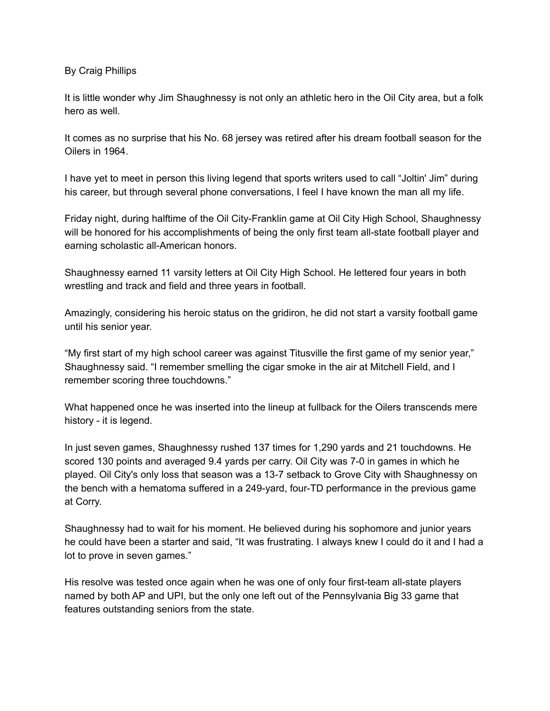By Craig Phillips

It is little wonder why Jim Shaughnessy is not only an athletic hero in the Oil City area, but a folk hero as well.

It comes as no surprise that his No. 68 jersey was retired after his dream football season for the Oilers in 1964.

I have yet to meet in person this living legend that sports writers used to call "Joltin' Jim" during his career, but through several phone conversations, I feel I have known the man all my life.

Friday night, during halftime of the Oil City-Franklin game at Oil City High School, Shaughnessy will be honored for his accomplishments of being the only first team all-state football player and earning scholastic all-American honors.

Shaughnessy earned 11 varsity letters at Oil City High School. He lettered four years in both wrestling and track and field and three years in football.

Amazingly, considering his heroic status on the gridiron, he did not start a varsity football game until his senior year.

"My first start of my high school career was against Titusville the first game of my senior year," Shaughnessy said. "I remember smelling the cigar smoke in the air at Mitchell Field, and I remember scoring three touchdowns."

What happened once he was inserted into the lineup at fullback for the Oilers transcends mere history - it is legend.

In just seven games, Shaughnessy rushed 137 times for 1,290 yards and 21 touchdowns. He scored 130 points and averaged 9.4 yards per carry. Oil City was 7-0 in games in which he played. Oil City's only loss that season was a 13-7 setback to Grove City with Shaughnessy on the bench with a hematoma suffered in a 249-yard, four-TD performance in the previous game at Corry.

Shaughnessy had to wait for his moment. He believed during his sophomore and junior years he could have been a starter and said, "It was frustrating. I always knew I could do it and I had a lot to prove in seven games."

His resolve was tested once again when he was one of only four first-team all-state players named by both AP and UPI, but the only one left out of the Pennsylvania Big 33 game that features outstanding seniors from the state.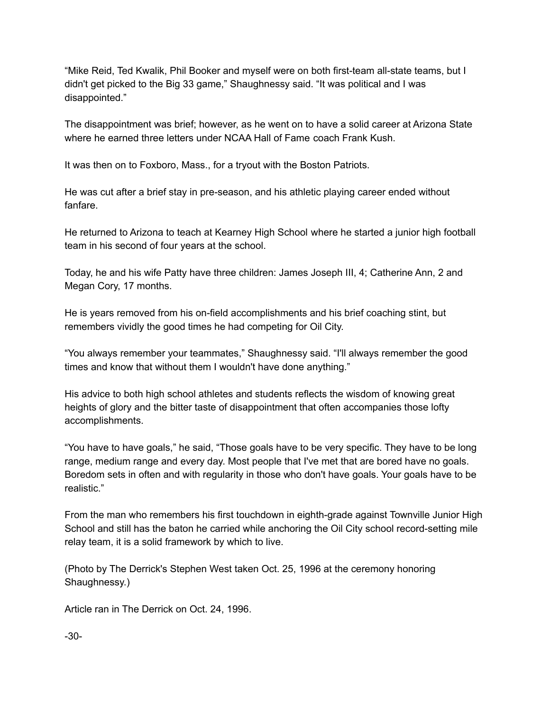"Mike Reid, Ted Kwalik, Phil Booker and myself were on both first-team all-state teams, but I didn't get picked to the Big 33 game," Shaughnessy said. "It was political and I was disappointed."

The disappointment was brief; however, as he went on to have a solid career at Arizona State where he earned three letters under NCAA Hall of Fame coach Frank Kush.

It was then on to Foxboro, Mass., for a tryout with the Boston Patriots.

He was cut after a brief stay in pre-season, and his athletic playing career ended without fanfare.

He returned to Arizona to teach at Kearney High School where he started a junior high football team in his second of four years at the school.

Today, he and his wife Patty have three children: James Joseph III, 4; Catherine Ann, 2 and Megan Cory, 17 months.

He is years removed from his on-field accomplishments and his brief coaching stint, but remembers vividly the good times he had competing for Oil City.

"You always remember your teammates," Shaughnessy said. "I'll always remember the good times and know that without them I wouldn't have done anything."

His advice to both high school athletes and students reflects the wisdom of knowing great heights of glory and the bitter taste of disappointment that often accompanies those lofty accomplishments.

"You have to have goals," he said, "Those goals have to be very specific. They have to be long range, medium range and every day. Most people that I've met that are bored have no goals. Boredom sets in often and with regularity in those who don't have goals. Your goals have to be realistic."

From the man who remembers his first touchdown in eighth-grade against Townville Junior High School and still has the baton he carried while anchoring the Oil City school record-setting mile relay team, it is a solid framework by which to live.

(Photo by The Derrick's Stephen West taken Oct. 25, 1996 at the ceremony honoring Shaughnessy.)

Article ran in The Derrick on Oct. 24, 1996.

-30-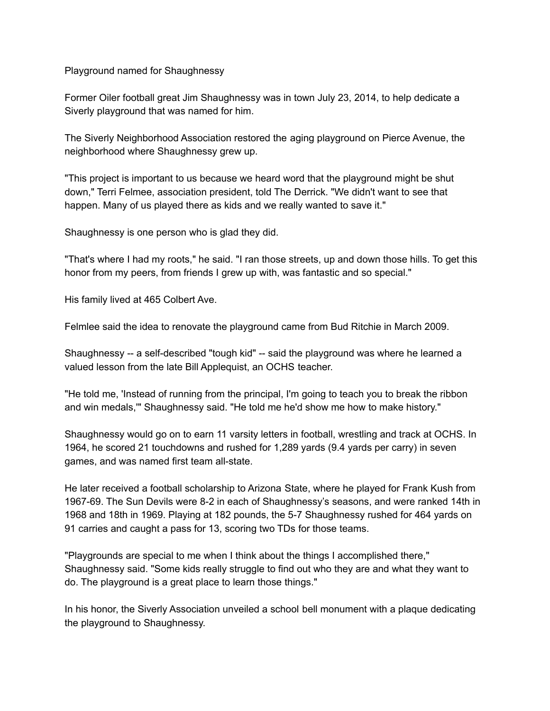Playground named for Shaughnessy

Former Oiler football great Jim Shaughnessy was in town July 23, 2014, to help dedicate a Siverly playground that was named for him.

The Siverly Neighborhood Association restored the aging playground on Pierce Avenue, the neighborhood where Shaughnessy grew up.

"This project is important to us because we heard word that the playground might be shut down," Terri Felmee, association president, told The Derrick. "We didn't want to see that happen. Many of us played there as kids and we really wanted to save it."

Shaughnessy is one person who is glad they did.

"That's where I had my roots," he said. "I ran those streets, up and down those hills. To get this honor from my peers, from friends I grew up with, was fantastic and so special."

His family lived at 465 Colbert Ave.

Felmlee said the idea to renovate the playground came from Bud Ritchie in March 2009.

Shaughnessy -- a self-described "tough kid" -- said the playground was where he learned a valued lesson from the late Bill Applequist, an OCHS teacher.

"He told me, 'Instead of running from the principal, I'm going to teach you to break the ribbon and win medals,'" Shaughnessy said. "He told me he'd show me how to make history."

Shaughnessy would go on to earn 11 varsity letters in football, wrestling and track at OCHS. In 1964, he scored 21 touchdowns and rushed for 1,289 yards (9.4 yards per carry) in seven games, and was named first team all-state.

He later received a football scholarship to Arizona State, where he played for Frank Kush from 1967-69. The Sun Devils were 8-2 in each of Shaughnessy's seasons, and were ranked 14th in 1968 and 18th in 1969. Playing at 182 pounds, the 5-7 Shaughnessy rushed for 464 yards on 91 carries and caught a pass for 13, scoring two TDs for those teams.

"Playgrounds are special to me when I think about the things I accomplished there," Shaughnessy said. "Some kids really struggle to find out who they are and what they want to do. The playground is a great place to learn those things."

In his honor, the Siverly Association unveiled a school bell monument with a plaque dedicating the playground to Shaughnessy.